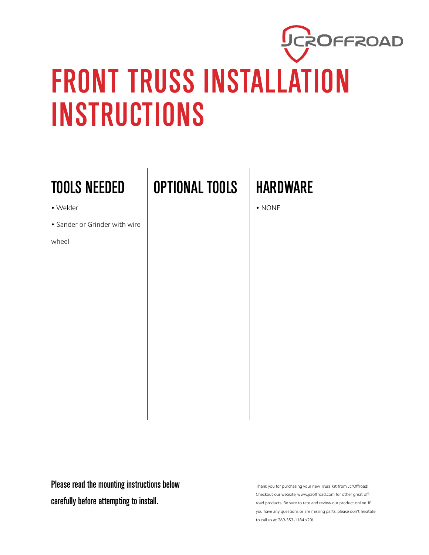## UCROFFROAD FRONT TRUSS INSTALLATION INSTRUCTIONS

## TOOLS NEEDED

- Welder
- Sander or Grinder with wire

wheel

OPTIONAL TOOLS HARDWARE

• NONE

Please read the mounting instructions below carefully before attempting to install.

Thank you for purchasing your new Truss Kit from JcrOffroad! Checkout our website, www.jcroffroad.com for other great offroad products. Be sure to rate and review our product online. If you have any questions or are missing parts, please don't hesitate to call us at 269-353-1184 x20!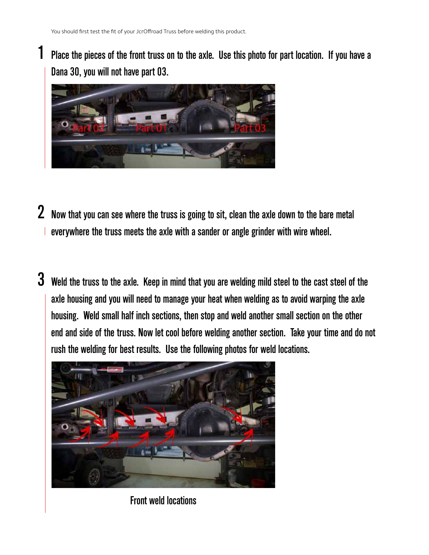1

Place the pieces of the front truss on to the axle. Use this photo for part location. If you have a Dana 30, you will not have part 03.



- $\,2\,$  Now that you can see where the truss is going to sit, clean the axle down to the bare metal everywhere the truss meets the axle with a sander or angle grinder with wire wheel.
- $\bf 3$  Weld the truss to the axle. Keep in mind that you are welding mild steel to the cast steel of the axle housing and you will need to manage your heat when welding as to avoid warping the axle housing. Weld small half inch sections, then stop and weld another small section on the other end and side of the truss. Now let cool before welding another section. Take your time and do not rush the welding for best results. Use the following photos for weld locations.



Front weld locations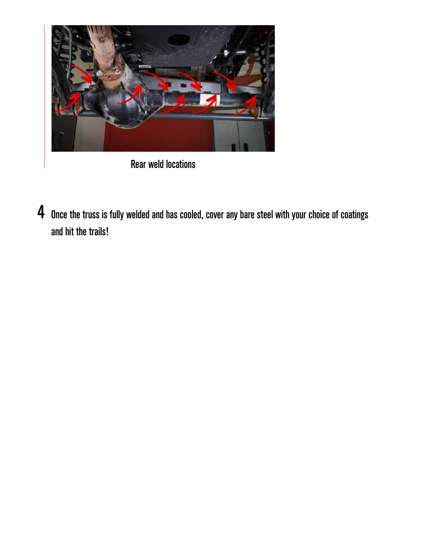

Rear weld locations

 $\boldsymbol{4}$  Once the truss is fully welded and has cooled, cover any bare steel with your choice of coatings and hit the trails!